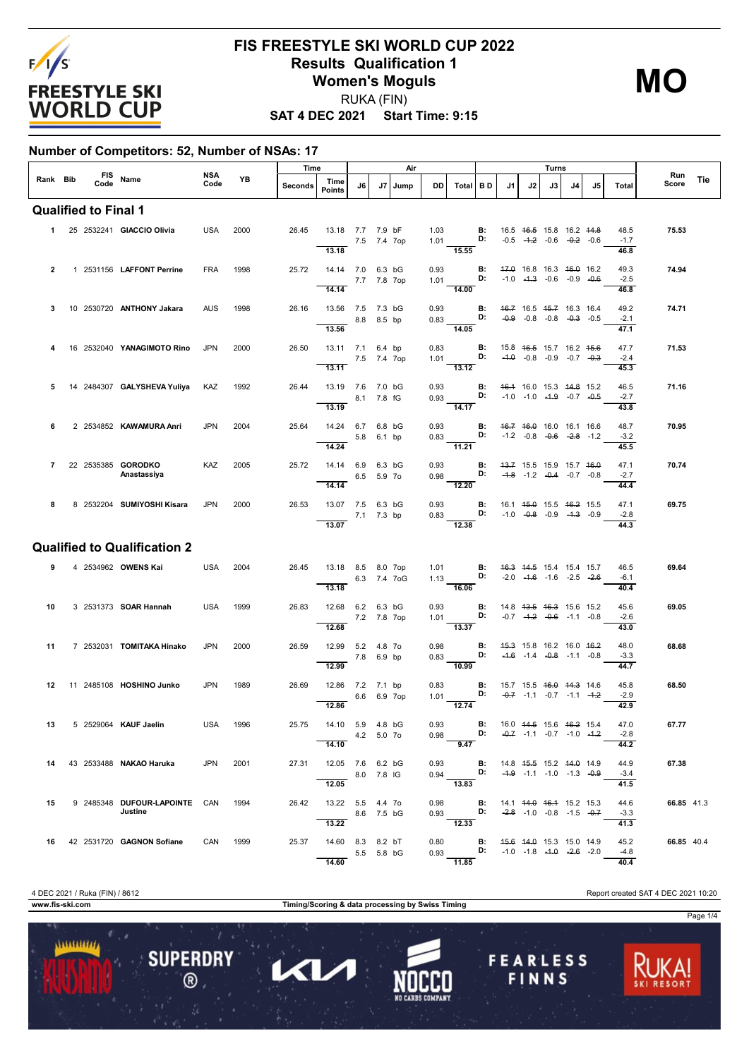

# **FIS FREESTYLE SKI WORLD CUP 2022 Results Qualification 1 Women's Moguls** RUKA (FIN)

**SAT 4 DEC 2021 Start Time: 9:15**

#### **Number of Competitors: 52, Number of NSAs: 17**

|                |  |      |                                          |                    |      |         | Time                                |             |             | Air          |              |                                                                                                                              |                                    |    |    | Turns |                                                                |    |                                |              |     |
|----------------|--|------|------------------------------------------|--------------------|------|---------|-------------------------------------|-------------|-------------|--------------|--------------|------------------------------------------------------------------------------------------------------------------------------|------------------------------------|----|----|-------|----------------------------------------------------------------|----|--------------------------------|--------------|-----|
|                |  | Code | Rank Bib FIS Name                        | <b>NSA</b><br>Code | YB   | Seconds | Time<br><b>Points</b>               | J6          | J7          | Jump         | <b>DD</b>    | Total BD                                                                                                                     |                                    | J1 | J2 | J3    | J4                                                             | J5 | Total                          | Run<br>Score | Tie |
|                |  |      | <b>Qualified to Final 1</b>              |                    |      |         |                                     |             |             |              |              |                                                                                                                              |                                    |    |    |       |                                                                |    |                                |              |     |
|                |  |      | 1 25 2532241 GIACCIO Olivia              | USA                | 2000 | 26.45   | 13.18 7.7 7.9 bF<br>7.5 7.4 7op     |             |             |              |              | 1.03 <b>B:</b> 16.5 4 <del>6.5</del> 15.8 16.2 44.8<br>1.01 <b>D:</b> -0.5 -4.2 -0.6 -0.2 -0.6                               |                                    |    |    |       |                                                                |    | 48.5<br>$-1.7$                 | 75.53        |     |
| $\overline{2}$ |  |      | 1 2531156 LAFFONT Perrine                | <b>FRA</b>         | 1998 | 25.72   | 13.18<br>14.14 7.0 6.3 bG           |             |             |              | 0.93         | $-15.55$                                                                                                                     | <b>B:</b>                          |    |    |       | 47.0 16.8 16.3 46.0 16.2                                       |    | 46.8<br>49.3                   | 74.94        |     |
|                |  |      |                                          |                    |      |         | 14.14                               |             | 7.7 7.8 7op |              |              | 1.01 D:<br>14.00                                                                                                             |                                    |    |    |       | $-1.0$ $-4.3$ $-0.6$ $-0.9$ $-0.6$                             |    | $-2.5$<br>46.8                 |              |     |
| 3              |  |      | 10 2530720 <b>ANTHONY Jakara</b>         | <b>AUS</b>         | 1998 | 26.16   | 13.56 7.5 7.3 bG<br>13.56           |             | 8.8 8.5 bp  |              |              | 0.93 <b>B:</b> 46.7 16.5 45.7 16.3 16.4<br>$0.83$ D:<br>14.05                                                                |                                    |    |    |       | $-0.9$ $-0.8$ $-0.8$ $-0.3$ $-0.3$                             |    | 49.2<br>$-2.1$<br>47.1         | 74.71        |     |
|                |  |      | 16 2532040 YANAGIMOTO Rino               | <b>JPN</b>         | 2000 | 26.50   | 13.11 7.1 6.4 bp                    |             |             |              | 0.83         |                                                                                                                              | $\blacksquare$                     |    |    |       | 15.8 46.5 15.7 16.2 45.6                                       |    | 47.7                           | 71.53        |     |
|                |  |      |                                          |                    |      |         | 7.5 7.4 7op<br>13.11                |             |             |              |              | 1.01 <b>D:</b><br>13.12                                                                                                      |                                    |    |    |       | $-4.0$ $-0.8$ $-0.9$ $-0.7$ $-0.3$                             |    | $-2.4$<br>45.3                 |              |     |
| 5              |  |      | 14 2484307 GALYSHEVA Yuliya KAZ          |                    | 1992 | 26.44   | 13.19 7.6 7.0 bG<br>13.19           |             | 8.1 7.8 fG  |              | 0.93         | $0.93$ D:<br>$\frac{1}{14.17}$                                                                                               | B:                                 |    |    |       | 46.4 16.0 15.3 44.8 15.2<br>$-1.0$ $-1.0$ $-4.9$ $-0.7$ $-0.5$ |    | 46.5<br>$-2.7$<br>43.8         | 71.16        |     |
| 6              |  |      | 2 2534852 KAWAMURA Anri                  | <b>JPN</b>         | 2004 | 25.64   | 14.24 6.7 6.8 bG<br>14.24           |             | 5.8 6.1 bp  |              |              | 0.93 <b>B:</b> $46.7$ $46.0$ 16.0 16.1 16.6<br>0.83 <b>D:</b> $-1.2$ $-0.8$ $-0.6$ $-2.8$ $-1.2$<br>11.21                    |                                    |    |    |       |                                                                |    | 48.7<br>$-3.2$<br>45.5         | 70.95        |     |
|                |  |      | 7 22 2535385 GORODKO<br>Anastassiya      | KAZ                | 2005 | 25.72   | 14.14 6.9 6.3 bG                    |             | 6.5 5.9 70  |              | 0.93         | $0.98$ D:                                                                                                                    | $\blacksquare$                     |    |    |       | 43.7 15.5 15.9 15.7 46.0<br>$-4.8$ $-1.2$ $-0.4$ $-0.7$ $-0.8$ |    | 47.1<br>$-2.7$                 | 70.74        |     |
| 8              |  |      | 8 2532204 SUMIYOSHI Kisara               | <b>JPN</b>         | 2000 | 26.53   | 14.14<br>13.07 7.5 6.3 bG           |             | 7.1 7.3 bp  |              |              | $\frac{1}{12.20}$<br>0.93 <b>B:</b> 16.1 4 <del>5.0</del> 15.5 46.2 15.5<br>0.83 					 D: $-1.0$ $-0.8$ $-0.9$ $-1.3$ $-0.9$ |                                    |    |    |       |                                                                |    | 44.4<br>47.1<br>$-2.8$         | 69.75        |     |
|                |  |      | <b>Qualified to Qualification 2</b>      |                    |      |         | 13.07                               |             |             |              |              | 12.38                                                                                                                        |                                    |    |    |       |                                                                |    | 44.3                           |              |     |
| 9              |  |      | 4 2534962 OWENS Kai                      | USA                | 2004 | 26.45   | 13.18 8.5 8.0 7op<br>13.18          |             |             | 6.3 7.4 7 oG | 1.01         | $\frac{1}{1.13}$ D:<br>$-16.06$                                                                                              | $\mathbf{B}$ :                     |    |    |       | 46.3 44.5 15.4 15.4 15.7<br>$-2.0$ $-4.6$ $-1.6$ $-2.5$ $-2.6$ |    | 46.5<br>$-6.1$<br>40.4         | 69.64        |     |
| 10             |  |      | 3 2531373 <b>SOAR Hannah</b>             | USA                | 1999 | 26.83   | 12.68 6.2 6.3 bG<br>12.68           | 7.2 7.8 7op |             |              | 0.93         | 1.01 <b>D:</b> $-0.7$ $-4.2$ $-0.6$ $-1.1$ $-0.8$<br>13.37                                                                   | <b>B:</b> 14.8 43.5 46.3 15.6 15.2 |    |    |       |                                                                |    | 45.6<br>$-2.6$<br>43.0         | 69.05        |     |
| 11             |  |      | 7 2532031 TOMITAKA Hinako                | <b>JPN</b>         | 2000 | 26.59   | 12.99 5.2 4.8 7o<br>12.99           |             | 7.8 6.9 bp  |              | 0.98<br>0.83 | D:<br>$-10.99$                                                                                                               | B:                                 |    |    |       | 45.3 15.8 16.2 16.0 46.2<br>$-4.6$ $-1.4$ $-0.8$ $-1.1$ $-0.8$ |    | 48.0<br>$-3.3$<br>44.7         | 68.68        |     |
| 12             |  |      | 11 2485108 HOSHINO Junko                 | <b>JPN</b>         | 1989 | 26.69   | 12.86 7.2 7.1 bp<br>12.86           |             | 6.6 6.9 7op |              |              | 0.83 <b>B:</b> 15.7 15.5 <del>16.0 14.3</del> 14.6<br>1.01 <b>D:</b> -0.7 -1.1 -0.7 -1.1 -4.2<br>12.74                       |                                    |    |    |       | $-0.7$ $-1.1$ $-0.7$ $-1.1$ $-4.2$                             |    | 45.8<br>$-2.9$<br>42.9         | 68.50        |     |
|                |  |      | 13 5 2529064 KAUF Jaelin                 | <b>USA 1996</b>    |      |         | 25.75  14.10  5.9  4.8  bG<br>14.10 | 4.2 5.0 7 o |             |              |              | 0.93 <b>B:</b> 16.0 44.5 15.6 46.2 15.4<br>0.98 <b>D:</b> -0.7 -1.1 -0.7 -1.0 -1.2<br>9.47                                   |                                    |    |    |       |                                                                |    | 47.0<br>$-2.8$<br>44.2         | 67.77        |     |
| 14             |  |      | 43 2533488 <b>NAKAO Haruka</b>           | <b>JPN</b>         | 2001 | 27.31   | 12.05 7.6 6.2 bG<br>12.05           |             | 8.0 7.8 IG  |              |              | 0.93 <b>B:</b> 14.8 4 <del>5.5</del> 15.2 44.9 14.9<br>0.94 <b>D:</b> -4.9 -1.1 -1.0 -1.3 -0.9<br>$\overline{13.83}$         |                                    |    |    |       |                                                                |    | 44.9<br>$-3.4$                 | 67.38        |     |
| 15             |  |      | 9 2485348 DUFOUR-LAPOINTE CAN<br>Justine |                    | 1994 | 26.42   | 13.22 5.5 4.4 7o                    |             | 8.6 7.5 bG  |              |              | 0.98 <b>B:</b><br>0.93 <b>D:</b>                                                                                             |                                    |    |    |       | 14.1 44.0 46.4 15.2 15.3<br>$-2.8$ -1.0 -0.8 -1.5 -0.7         |    | 41.5<br>44.6<br>$-3.3$         | 66.85 41.3   |     |
| 16 -           |  |      | 42 2531720 GAGNON Sofiane                | CAN 1999           |      | 25.37   | 13.22<br>14.60 8.3 8.2 bT<br>14.60  |             | 5.5 5.8 bG  |              |              | 12.33<br>$0.80$ B:<br>0.93 <b>D:</b> $-1.0$ $-1.8$ $-4.0$ $-2.6$ $-2.0$<br>$-11.85$                                          |                                    |    |    |       | 45.6 44.0 15.3 15.0 14.9                                       |    | 41.3<br>45.2<br>$-4.8$<br>40.4 | 66.85 40.4   |     |

...........

**SUPERDRY** 

 $\circledR$ 

1

**<1/** 

**www.fis-ski.com Timing/Scoring & data processing by Swiss Timing**

4 DEC 2021 / Ruka (FIN) / 8612 Report created SAT 4 DEC 2021 10:20

**FEARLESS** 

FINNS

Page 1/4

**MO**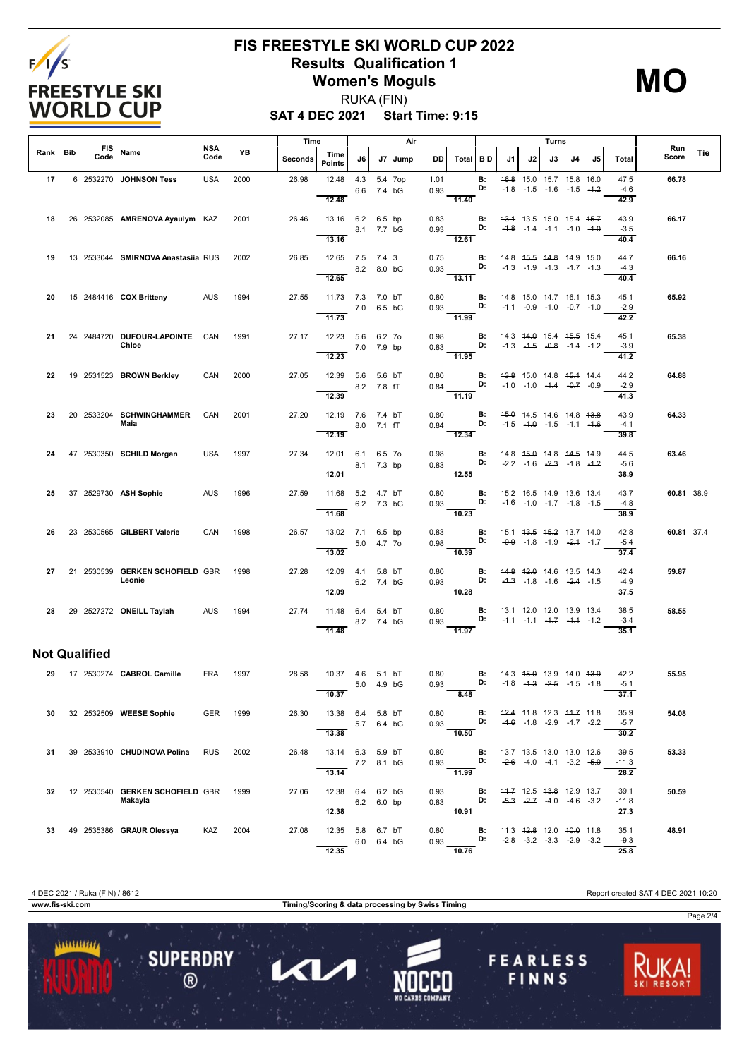

# **FIS FREESTYLE SKI WORLD CUP 2022 Results Qualification 1 Women's Moguls**

**MO**

**SAT 4 DEC 2021 Start Time: 9:15** RUKA (FIN)

|          |                      |                                            | Time<br>Air |          |         |                                           |            | Turns  |         |              |                                                                         |                                          |                                                                          |    |                                                                                       |    |    |                         |              |     |
|----------|----------------------|--------------------------------------------|-------------|----------|---------|-------------------------------------------|------------|--------|---------|--------------|-------------------------------------------------------------------------|------------------------------------------|--------------------------------------------------------------------------|----|---------------------------------------------------------------------------------------|----|----|-------------------------|--------------|-----|
| Rank Bib | Code                 | FIS Name                                   | NSA<br>Code | YB       | Seconds | Time<br>Points                            | J6         | J7     | Jump    | DD           | Total BD                                                                |                                          | J1                                                                       | J2 | J3                                                                                    | J4 | J5 | Total                   | Run<br>Score | Tie |
| 17       |                      | 6 2532270 JOHNSON Tess                     | <b>USA</b>  | 2000     | 26.98   | 12.48<br>12.48                            | 4.3<br>6.6 | 7.4 bG | 5.4 7op | 1.01<br>0.93 | 11.40                                                                   | В:<br>D:                                 |                                                                          |    | 46.8 45.0 15.7 15.8 16.0<br>$-4.8$ $-1.5$ $-1.6$ $-1.5$ $-4.2$                        |    |    | 47.5<br>$-4.6$<br>42.9  | 66.78        |     |
| 18       |                      | 26 2532085 AMRENOVA Ayaulym KAZ            |             | 2001     | 26.46   | 13.16 6.2 6.5 bp<br>8.1 7.7 bG<br>13.16   |            |        |         | 0.83         | 0.93<br>12.61                                                           | B:<br>D:                                 | $-4.8$ $-1.4$ $-1.1$ $-1.0$ $-4.0$                                       |    | 43.4 13.5 15.0 15.4 45.7                                                              |    |    | 43.9<br>$-3.5$<br>40.4  | 66.17        |     |
| 19       |                      | 13 2533044 SMIRNOVA Anastasiia RUS         |             | 2002     | 26.85   | 12.65 7.5 7.4 3<br>12.65                  | 8.2 8.0 bG |        |         | 0.75<br>0.93 | D:<br>$\overline{13.11}$                                                | B:                                       |                                                                          |    | 14.8 45.5 44.8 14.9 15.0<br>$-1.3$ $-4.9$ $-1.3$ $-1.7$ $-4.3$                        |    |    | 44.7<br>$-4.3$<br>40.4  | 66.16        |     |
| 20       |                      | 15 2484416 <b>COX Britteny</b>             | AUS         | 1994     | 27.55   | 11.73 7.3 7.0 bT<br>11.73                 | 7.0 6.5 bG |        |         | 0.80         | 0.93 D: $-4.4$ -0.9 -1.0 $-0.7$ -1.0<br>$\frac{1}{11.99}$               | B:                                       | 14.8 15.0 <del>14.7</del> <del>16.1</del> 15.3                           |    |                                                                                       |    |    | 45.1<br>$-2.9$<br>42.2  | 65.92        |     |
| 21       |                      | 24 2484720 DUFOUR-LAPOINTE CAN<br>Chloe    |             | 1991     | 27.17   | 12.23 5.6 6.2 7o<br>12.23                 | 7.0 7.9 bp |        |         | 0.98<br>0.83 | $\overline{B}$ :<br>$-11.95$                                            | D:                                       |                                                                          |    | 14.3 44.0 15.4 45.5 15.4<br>$-1.3$ $-4.5$ $-0.8$ $-1.4$ $-1.2$                        |    |    | 45.1<br>$-3.9$<br>41.2  | 65.38        |     |
| 22       |                      | 19 2531523 BROWN Berkley                   | CAN         | 2000     | 27.05   | 12.39 5.6 5.6 bT<br>12.39                 | 8.2 7.8 fT |        |         | 0.80<br>0.84 | $\overline{11.19}$                                                      | B:<br>D:                                 |                                                                          |    | 43.8 15.0 14.8 45.4 14.4<br>$-1.0$ $-1.0$ $-4.4$ $-0.7$ $-0.9$                        |    |    | 44.2<br>$-2.9$<br>41.3  | 64.88        |     |
| 23       |                      | 20 2533204 SCHWINGHAMMER<br>Maia           | CAN         | 2001     | 27.20   | 12.19 7.6 7.4 bT<br>8.0 7.1 fT<br>12.19   |            |        |         | 0.80         | 12.34                                                                   | <b>B:</b> 45.0 14.5 14.6 14.8 43.8       |                                                                          |    |                                                                                       |    |    | 43.9<br>$-4.1$<br>39.8  | 64.33        |     |
| 24       |                      | 47 2530350 SCHILD Morgan                   | <b>USA</b>  | 1997     | 27.34   | 12.01 6.1 6.5 7o<br>12.01                 | 8.1 7.3 bp |        |         | 0.98<br>0.83 | D:<br>$\overline{12.55}$                                                | <b>B:</b>                                |                                                                          |    | 14.8 <del>15.0</del> 14.8 <del>14.5</del> 14.9<br>$-2.2$ $-1.6$ $-2.3$ $-1.8$ $-1.2$  |    |    | 44.5<br>$-5.6$<br>38.9  | 63.46        |     |
| 25       |                      | 37 2529730 ASH Sophie                      | AUS         | 1996     | 27.59   | 11.68 5.2 4.7 bT<br>11.68                 | 6.2 7.3 bG |        |         | 0.80         | 0.93 <b>D:</b> $-1.6$ $-4.0$ $-1.7$ $-4.8$ $-1.5$<br>$-10.23$           | <b>B:</b> 15.2 46.5 14.9 13.6 43.4       |                                                                          |    |                                                                                       |    |    | 43.7<br>$-4.8$<br>38.9  | 60.81 38.9   |     |
| 26       |                      | 23 2530565 GILBERT Valerie                 | CAN         | 1998     | 26.57   | 13.02 7.1 6.5 bp<br>13.02                 | 5.0 4.7 70 |        |         | 0.83<br>0.98 | $-10.39$                                                                | <b>B:</b><br>D:                          |                                                                          |    | 15.1 <del>13.5</del> 4 <del>5.2</del> 13.7 14.0<br>$-0.9$ $-1.8$ $-1.9$ $-2.4$ $-1.7$ |    |    | 42.8<br>$-5.4$<br>37.4  | 60.81 37.4   |     |
| 27       |                      | 21 2530539 GERKEN SCHOFIELD GBR<br>Leonie  |             | 1998     | 27.28   | 12.09  4.1  5.8 bT<br>12.09               | 6.2 7.4 bG |        |         | 0.80<br>0.93 | 10.28                                                                   | B:<br>D:                                 |                                                                          |    | 44.8 42.0 14.6 13.5 14.3<br>$-4.3$ $-1.8$ $-1.6$ $-2.4$ $-1.5$                        |    |    | 42.4<br>$-4.9$<br>37.5  | 59.87        |     |
|          |                      | 28 29 2527272 ONEILL Taylah AUS            |             | 1994     | 27.74   | 11.48 6.4 5.4 bT<br>$8.2$ 7.4 bG<br>11.48 |            |        |         | 0.80         | 0.93 <b>D:</b> $-1.1$ $-1.1$ $-4.7$ $-4.4$ $-1.2$<br>$rac{0.55}{11.97}$ | <b>B:</b>                                | 13.1 12.0 <del>12.0</del> 13.9 13.4                                      |    |                                                                                       |    |    | 38.5<br>$-3.4$<br>35.1  | 58.55        |     |
|          | <b>Not Qualified</b> |                                            |             |          |         |                                           |            |        |         |              |                                                                         |                                          |                                                                          |    |                                                                                       |    |    |                         |              |     |
|          |                      | 29 17 2530274 CABROL Camille               | <b>FRA</b>  | 1997     | 28.58   | 10.37 4.6<br>10.37                        | 5.0 4.9 bG | 5.1 bT |         | 0.80<br>0.93 | 8.48                                                                    | B:<br>D:                                 | $-1.8$ $-4.3$ $-2.5$ $-1.5$ $-1.8$                                       |    | 14.3 45.0 13.9 14.0 43.9                                                              |    |    | 42.2<br>$-5.1$<br>37.1  | 55.95        |     |
|          |                      | 30 32 2532509 WEESE Sophie                 |             | GER 1999 | 26.30   | 13.38 6.4 5.8 bT<br>13.38                 | 5.7 6.4 bG |        |         | 0.80<br>0.93 | 10.50                                                                   | <b>B:</b> 42.4 11.8 12.3 44.7 11.8<br>D: |                                                                          |    | $-4.6$ $-1.8$ $-2.9$ $-1.7$ $-2.2$                                                    |    |    | 35.9<br>$-5.7$<br>30.2  | 54.08        |     |
| 31       |                      | 39 2533910 CHUDINOVA Polina                | <b>RUS</b>  | 2002     | 26.48   | 13.14 6.3 5.9 bT<br>13.14                 | 7.2 8.1 bG |        |         | 0.80<br>0.93 | 11.99                                                                   | <b>B:</b>                                | 43.7 13.5 13.0 13.0 42.6<br><b>D:</b> $-2.6$ $-4.0$ $-4.1$ $-3.2$ $-5.0$ |    |                                                                                       |    |    | 39.5<br>$-11.3$<br>28.2 | 53.33        |     |
| 32       |                      | 12 2530540 GERKEN SCHOFIELD GBR<br>Makayla |             | 1999     | 27.06   | 12.38 6.4 6.2 bG<br>12.38                 | 6.2 6.0 bp |        |         | 0.93         | 0.83<br>$\frac{1}{10.91}$                                               | B:<br>D:                                 | 44.7 12.5 43.8 12.9 13.7                                                 |    | $-5.3$ $-2.7$ $-4.0$ $-4.6$ $-3.2$                                                    |    |    | 39.1<br>$-11.8$<br>27.3 | 50.59        |     |
| 33       |                      | 49 2535386 GRAUR Olessya                   | KAZ         | 2004     | 27.08   | 12.35 5.8 6.7 bT<br>12.35                 | 6.0 6.4 bG |        |         | 0.80         | $0.93$ D:<br>10.76                                                      | B:                                       | 11.3 <del>12.8</del> 12.0 <del>10.0</del> 11.8                           |    | $-2.8$ $-3.2$ $-3.3$ $-2.9$ $-3.2$                                                    |    |    | 35.1<br>$-9.3$<br>25.8  | 48.91        |     |

**www.fis-ski.com Timing/Scoring & data processing by Swiss Timing** Page 2/4........... **SUPERDRY FEARLESS**  $\blacktriangleleft$ 1  $\circledR$ FINNS

4 DEC 2021 / Ruka (FIN) / 8612 Report created SAT 4 DEC 2021 10:20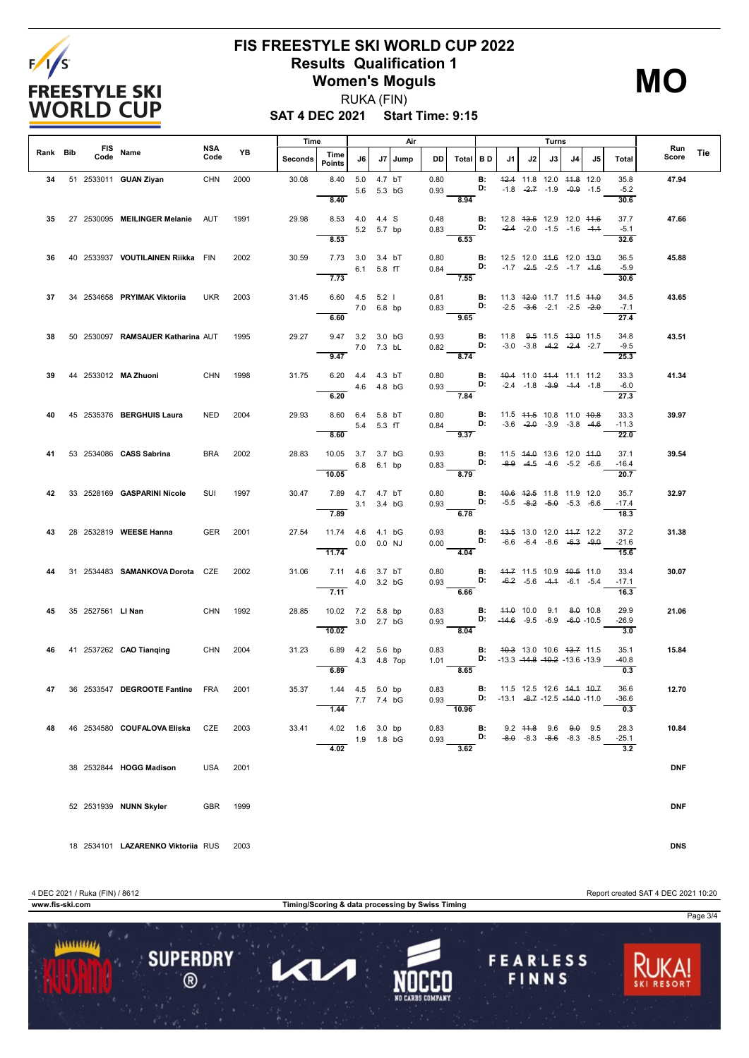

### **FIS FREESTYLE SKI WORLD CUP 2022 Results Qualification 1 Women's Moguls**

**MO**

**SAT 4 DEC 2021 Start Time: 9:15** RUKA (FIN)

|          |                   |                                         | <b>NSA</b>      |      | Time    |                                  |                |                      | Air     |                         |                                                                                        |                                              |                                                                                         |    | Turns                                                          |    |    |                                     |              |     |
|----------|-------------------|-----------------------------------------|-----------------|------|---------|----------------------------------|----------------|----------------------|---------|-------------------------|----------------------------------------------------------------------------------------|----------------------------------------------|-----------------------------------------------------------------------------------------|----|----------------------------------------------------------------|----|----|-------------------------------------|--------------|-----|
| Rank Bib | Code              | FIS Name                                | Code            | YB   | Seconds | Time<br><b>Points</b>            | J6             |                      | J7 Jump | DD.                     | Total   BD                                                                             |                                              | J1                                                                                      | J2 | J3                                                             | J4 | J5 | Total                               | Run<br>Score | Tie |
| 34       |                   | 51 2533011 <b>GUAN Ziyan</b>            | CHN             | 2000 | 30.08   | 8.40<br>8.40                     | 5.0            | 4.7 bT<br>5.6 5.3 bG |         | 0.80<br>0.93            | 8.94                                                                                   | В:<br>D:                                     |                                                                                         |    | 42.4 11.8 12.0 44.8 12.0<br>$-1.8$ $-2.7$ $-1.9$ $-0.9$ $-1.5$ |    |    | 35.8<br>$-5.2$<br>30.6              | 47.94        |     |
| 35       |                   | 27 2530095 MEILINGER Melanie AUT        |                 | 1991 | 29.98   | 8.53 4.0 4.4 S<br>8.53           | 5.2 5.7 bp     |                      |         | 0.48<br>0.83            | 6.53                                                                                   | В:<br>D:                                     | 12.8 43.5 12.9 12.0 44.6                                                                |    | $-2.4$ $-2.0$ $-1.5$ $-1.6$ $-1.4$                             |    |    | 37.7<br>$-5.1$<br>32.6              | 47.66        |     |
| 36       |                   | 40 2533937 VOUTILAINEN Riikka FIN       |                 | 2002 | 30.59   | 7.73 3.0 3.4 bT<br>7.73          | 6.1 5.8 fT     |                      |         | 0.80<br>0.84            | 7.55                                                                                   | В:<br>D:                                     | 12.5 12.0 44.6 12.0 43.0                                                                |    | $-1.7$ $-2.5$ $-2.5$ $-1.7$ $-1.6$                             |    |    | 36.5<br>$-5.9$<br>30.6              | 45.88        |     |
| 37       |                   | 34 2534658 PRYIMAK Viktorija            | UKR             | 2003 | 31.45   | $6.60$ $4.5$ $5.2$ l<br>6.60     | 7.0 6.8 bp     |                      |         | 0.81<br>0.83            | D:<br>$\frac{9.65}{9.65}$                                                              | В:                                           | 11.3 <del>12.0</del> 11.7 11.5 <del>11.0</del><br>$-2.5$ $-3.6$ $-2.1$ $-2.5$ $-2.0$    |    |                                                                |    |    | 34.5<br>$-7.1$<br>27.4              | 43.65        |     |
| 38       |                   | 50 2530097 RAMSAUER Katharina AUT       |                 | 1995 | 29.27   | 9.47 3.2 3.0 bG<br>9.47          | 7.0 7.3 bL     |                      |         | 0.93<br>0.82            | $-8.74$                                                                                | <b>B:</b><br>D:                              |                                                                                         |    | 11.8 9.5 11.5 43.0 11.5<br>$-3.0$ $-3.8$ $-4.2$ $-2.4$ $-2.7$  |    |    | 34.8<br>$-9.5$<br>25.3              | 43.51        |     |
| 39       |                   | 44 2533012 MA Zhuoni                    | CHN             | 1998 | 31.75   | 6.20 $4.4$ $4.3$ bT<br>6.20      | 4.6  4.8  bG   |                      |         | 0.80<br>0.93            | 7.84                                                                                   | <b>D:</b> $-2.4$ $-1.8$ $-3.9$ $-4.4$ $-1.8$ | <b>B:</b> 40.4 11.0 44.4 11.1 11.2                                                      |    |                                                                |    |    | 33.3<br>$-6.0$<br>27.3              | 41.34        |     |
| 40       |                   | 45 2535376 BERGHUIS Laura               | NED             | 2004 | 29.93   | 8.60 6.4 5.8 bT<br>8.60          | 5.4 5.3 fT     |                      |         | 0.80<br>0.84            | D:<br>9.37                                                                             | B:                                           | 11.5 44.5 10.8 11.0 40.8                                                                |    | $-3.6$ $-2.0$ $-3.9$ $-3.8$ $-4.6$                             |    |    | 33.3<br>$-11.3$<br>22.0             | 39.97        |     |
| 41       |                   | 53 2534086 CASS Sabrina                 | <b>BRA</b>      | 2002 | 28.83   | 10.05 3.7 3.7 bG<br>10.05        | 6.8 6.1 bp     |                      |         | 0.93<br>0.83            | 8.79                                                                                   | в:<br>D:                                     | 11.5 44.0 13.6 12.0 44.0                                                                |    | $-8.9$ $-4.5$ $-4.6$ $-5.2$ $-6.6$                             |    |    | 37.1<br>$-16.4$<br>20.7             | 39.54        |     |
| 42       |                   | 33 2528169 GASPARINI Nicole             | SUI             | 1997 | 30.47   | 7.89  4.7  4.7  bT<br>7.89       | 3.1 3.4 bG     |                      |         | 0.80<br>0.93            | <b>D:</b> $-5.5$ $-8.2$ $-5.0$ $-5.3$ $-6.6$<br>6.78                                   |                                              | <b>B:</b> 40.6 42.5 11.8 11.9 12.0                                                      |    |                                                                |    |    | 35.7<br>$-17.4$<br>18.3             | 32.97        |     |
| 43       |                   | 28 2532819 WEESE Hanna                  | <b>GER</b>      | 2001 | 27.54   | 11.74 4.6 4.1 bG                 | $0.0$ $0.0$ NJ |                      |         | 0.93<br>0.00            |                                                                                        | <b>B:</b><br>D:                              |                                                                                         |    | 43.5 13.0 12.0 44.7 12.2<br>$-6.6$ $-6.4$ $-8.6$ $-6.3$ $-9.0$ |    |    | 37.2<br>$-21.6$                     | 31.38        |     |
| 44       |                   | 31 2534483 SAMANKOVA Dorota CZE         |                 | 2002 | 31.06   | 11.74<br>7.11 4.6 3.7 bT<br>7.11 | 4.0 3.2 bG     |                      |         | 0.80<br>0.93            | $-4.04$<br>6.66                                                                        | <b>D:</b> $-6.2$ $-5.6$ $-4.4$ $-6.1$ $-5.4$ | <b>B:</b> 44.7 11.5 10.9 40.5 11.0                                                      |    |                                                                |    |    | 15.6<br>33.4<br>$-17.1$<br>16.3     | 30.07        |     |
| 45       | 35 2527561 LI Nan |                                         | CHN 1992        |      | 28.85   | 10.02 7.2 5.8 bp<br>10.02        | 3.0 2.7 bG     |                      |         | 0.83<br>0.93            | 8.04                                                                                   |                                              | <b>B:</b> 44.0 10.0 9.1 8.0 10.8<br>D: $-44.6$ $-9.5$ $-6.9$ $-6.0$ $-10.5$             |    |                                                                |    |    | 29.9<br>$-26.9$<br>3.0              | 21.06        |     |
| 46       |                   | 41 2537262 CAO Tianging                 | CHN             | 2004 | 31.23   | 6.89  4.2  5.6 bp<br>6.89        | 4.3  4.8  7op  |                      |         | 0.83<br>1.01            | 8.65                                                                                   |                                              | <b>B:</b> 40.3 13.0 10.6 43.7 11.5<br><b>D:</b> $-13.3$ $-14.8$ $-10.2$ $-13.6$ $-13.9$ |    |                                                                |    |    | 35.1<br>$-40.8$<br>0.3              | 15.84        |     |
| 47       |                   | 36 2533547 DEGROOTE Fantine             | <b>FRA</b>      | 2001 | 35.37   | 1.44  4.5  5.0 bp<br>1.44        | 7.7 7.4 bG     |                      |         | 0.83<br>$0.93$ $-10.96$ |                                                                                        |                                              | <b>B:</b> 11.5 12.5 12.6 44.4 40.7<br><b>D:</b> $-13.1$ $-8.7$ $-12.5$ $-14.0$ $-11.0$  |    |                                                                |    |    | 36.6<br>$-36.6$<br>0.3              | 12.70        |     |
| 48       |                   | 46 2534580 COUFALOVA Eliska CZE         |                 | 2003 | 33.41   | 4.02  1.6  3.0 bp<br>4.02        | 1.9 1.8 bG     |                      |         |                         | 0.83 <b>B:</b> 9.2 44.8 9.6 9.0 9.5<br>0.93 <b>D:</b> -8.0 -8.3 -8.6 -8.3 -8.5<br>3.62 |                                              |                                                                                         |    |                                                                |    |    | 28.3<br>$-25.1$<br>$\overline{3.2}$ | 10.84        |     |
|          |                   | 38 2532844 HOGG Madison                 | <b>USA</b> 2001 |      |         |                                  |                |                      |         |                         |                                                                                        |                                              |                                                                                         |    |                                                                |    |    |                                     | <b>DNF</b>   |     |
|          |                   | 52 2531939 NUNN Skyler                  | GBR 1999        |      |         |                                  |                |                      |         |                         |                                                                                        |                                              |                                                                                         |    |                                                                |    |    |                                     | <b>DNF</b>   |     |
|          |                   | 18 2534101 LAZARENKO Viktoriia RUS 2003 |                 |      |         |                                  |                |                      |         |                         |                                                                                        |                                              |                                                                                         |    |                                                                |    |    |                                     | <b>DNS</b>   |     |

4 DEC 2021 / Ruka (FIN) / 8612 Report created SAT 4 DEC 2021 10:20

**www.fis-ski.com Timing/Scoring & data processing by Swiss Timing** Page 3/4 $11111111111$ **SUPERDRY FEARLESS** Π  $\blacktriangleleft$  $\circledR$ FINNS